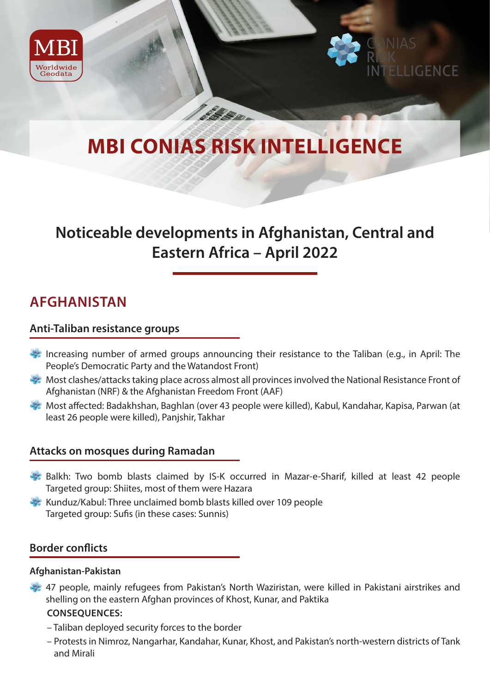



# **MBI CONIAS RISK INTELLIGENCE**

**C. Denne** 

## **Noticeable developments in Afghanistan, Central and Eastern Africa – April 2022**

### **AFGHANISTAN**

#### **Anti-Taliban resistance groups**

- Increasing number of armed groups announcing their resistance to the Taliban (e.g., in April: The People's Democratic Party and the Watandost Front)
- Most clashes/attacks taking place across almost all provinces involved the National Resistance Front of Afghanistan (NRF) & the Afghanistan Freedom Front (AAF)
- Most affected: Badakhshan, Baghlan (over 43 people were killed), Kabul, Kandahar, Kapisa, Parwan (at least 26 people were killed), Panjshir, Takhar

#### **Attacks on mosques during Ramadan**

- Balkh: Two bomb blasts claimed by IS-K occurred in Mazar-e-Sharif, killed at least 42 people Targeted group: Shiites, most of them were Hazara
- Kunduz/Kabul: Three unclaimed bomb blasts killed over 109 people Targeted group: Sufis (in these cases: Sunnis)

#### **Border conflicts**

#### **Afghanistan-Pakistan**

47 people, mainly refugees from Pakistan's North Waziristan, were killed in Pakistani airstrikes and shelling on the eastern Afghan provinces of Khost, Kunar, and Paktika

#### **CONSEQUENCES:**

- Taliban deployed security forces to the border
- Protests in Nimroz, Nangarhar, Kandahar, Kunar, Khost, and Pakistan's north-western districts of Tank and Mirali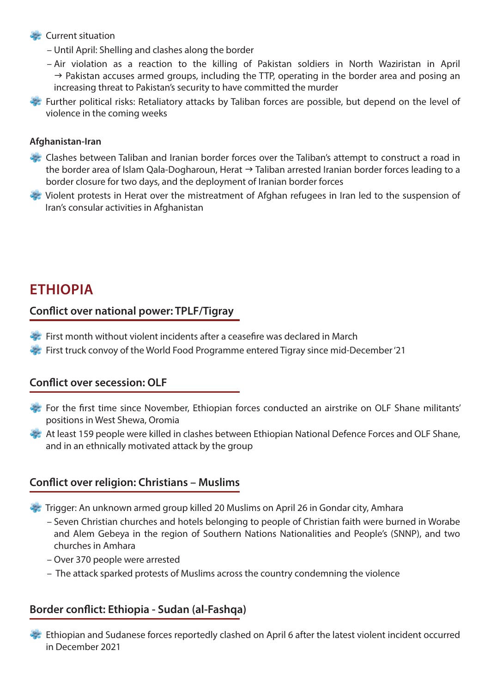#### **Current situation**

- Until April: Shelling and clashes along the border
- Air violation as a reaction to the killing of Pakistan soldiers in North Waziristan in April  $\rightarrow$  Pakistan accuses armed groups, including the TTP, operating in the border area and posing an increasing threat to Pakistan's security to have committed the murder
- Further political risks: Retaliatory attacks by Taliban forces are possible, but depend on the level of violence in the coming weeks

#### **Afghanistan-Iran**

- Clashes between Taliban and Iranian border forces over the Taliban's attempt to construct a road in the border area of Islam Qala-Dogharoun, Herat  $\rightarrow$  Taliban arrested Iranian border forces leading to a border closure for two days, and the deployment of Iranian border forces
- Violent protests in Herat over the mistreatment of Afghan refugees in Iran led to the suspension of Iran's consular activities in Afghanistan

### **ETHIOPIA**

#### **Conflict over national power: TPLF/Tigray**

- First month without violent incidents after a ceasefire was declared in March
- **First truck convoy of the World Food Programme entered Tigray since mid-December '21**

#### **Conflict over secession: OLF**

- For the first time since November, Ethiopian forces conducted an airstrike on OLF Shane militants' positions in West Shewa, Oromia
- At least 159 people were killed in clashes between Ethiopian National Defence Forces and OLF Shane, and in an ethnically motivated attack by the group

#### **Conflict over religion: Christians – Muslims**

- Trigger: An unknown armed group killed 20 Muslims on April 26 in Gondar city, Amhara
	- Seven Christian churches and hotels belonging to people of Christian faith were burned in Worabe and Alem Gebeya in the region of Southern Nations Nationalities and People's (SNNP), and two churches in Amhara
	- Over 370 people were arrested
	- The attack sparked protests of Muslims across the country condemning the violence

#### **Border conflict: Ethiopia - Sudan (al-Fashqa)**

 Ethiopian and Sudanese forces reportedly clashed on April 6 after the latest violent incident occurred in December 2021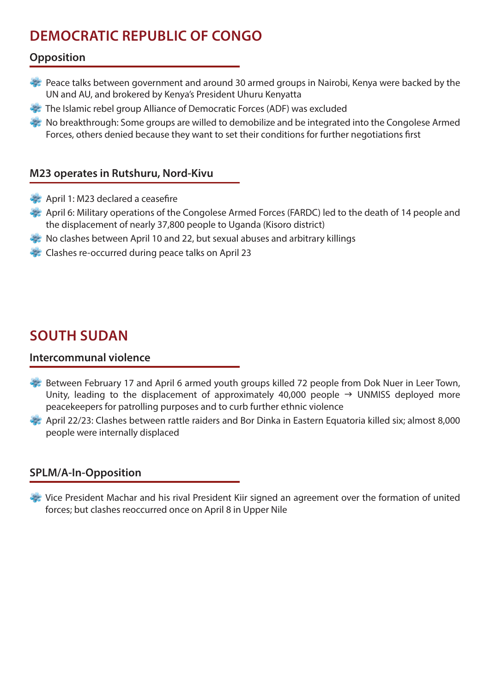## **DEMOCRATIC REPUBLIC OF CONGO**

#### **Opposition**

- Peace talks between government and around 30 armed groups in Nairobi, Kenya were backed by the UN and AU, and brokered by Kenya's President Uhuru Kenyatta
- The Islamic rebel group Alliance of Democratic Forces (ADF) was excluded
- $\blacktriangleright$  No breakthrough: Some groups are willed to demobilize and be integrated into the Congolese Armed Forces, others denied because they want to set their conditions for further negotiations first

#### **M23 operates in Rutshuru, Nord-Kivu**

- April 1: M23 declared a ceasefire
- April 6: Military operations of the Congolese Armed Forces (FARDC) led to the death of 14 people and the displacement of nearly 37,800 people to Uganda (Kisoro district)
- $\rightarrow$  No clashes between April 10 and 22, but sexual abuses and arbitrary killings
- Clashes re-occurred during peace talks on April 23

## **SOUTH SUDAN**

#### **Intercommunal violence**

- Between February 17 and April 6 armed youth groups killed 72 people from Dok Nuer in Leer Town, Unity, leading to the displacement of approximately 40,000 people  $\rightarrow$  UNMISS deployed more peacekeepers for patrolling purposes and to curb further ethnic violence
- April 22/23: Clashes between rattle raiders and Bor Dinka in Eastern Equatoria killed six; almost 8,000 people were internally displaced

#### **SPLM/A-In-Opposition**

 Vice President Machar and his rival President Kiir signed an agreement over the formation of united forces; but clashes reoccurred once on April 8 in Upper Nile